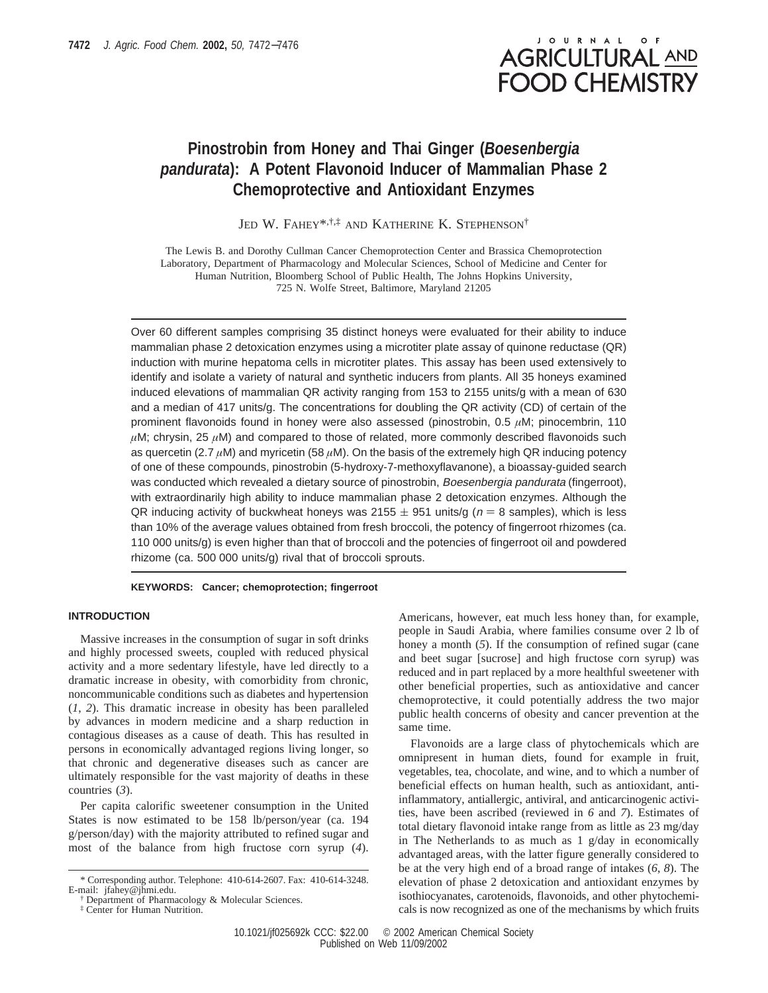# JOURNAL OF **AGRICULTURAL AND FOOD CHEMISTRY**

## **Pinostrobin from Honey and Thai Ginger (***Boesenbergia pandurata***): A Potent Flavonoid Inducer of Mammalian Phase 2 Chemoprotective and Antioxidant Enzymes**

JED W. FAHEY\*,<sup>†,‡</sup> AND KATHERINE K. STEPHENSON<sup>†</sup>

The Lewis B. and Dorothy Cullman Cancer Chemoprotection Center and Brassica Chemoprotection Laboratory, Department of Pharmacology and Molecular Sciences, School of Medicine and Center for Human Nutrition, Bloomberg School of Public Health, The Johns Hopkins University, 725 N. Wolfe Street, Baltimore, Maryland 21205

Over 60 different samples comprising 35 distinct honeys were evaluated for their ability to induce mammalian phase 2 detoxication enzymes using a microtiter plate assay of quinone reductase (QR) induction with murine hepatoma cells in microtiter plates. This assay has been used extensively to identify and isolate a variety of natural and synthetic inducers from plants. All 35 honeys examined induced elevations of mammalian QR activity ranging from 153 to 2155 units/g with a mean of 630 and a median of 417 units/g. The concentrations for doubling the QR activity (CD) of certain of the prominent flavonoids found in honey were also assessed (pinostrobin, 0.5 *µ*M; pinocembrin, 110 *µ*M; chrysin, 25 *µ*M) and compared to those of related, more commonly described flavonoids such as quercetin (2.7 *µ*M) and myricetin (58 *µ*M). On the basis of the extremely high QR inducing potency of one of these compounds, pinostrobin (5-hydroxy-7-methoxyflavanone), a bioassay-guided search was conducted which revealed a dietary source of pinostrobin, Boesenbergia pandurata (fingerroot), with extraordinarily high ability to induce mammalian phase 2 detoxication enzymes. Although the QR inducing activity of buckwheat honeys was 2155  $\pm$  951 units/g ( $n = 8$  samples), which is less than 10% of the average values obtained from fresh broccoli, the potency of fingerroot rhizomes (ca. 110 000 units/g) is even higher than that of broccoli and the potencies of fingerroot oil and powdered rhizome (ca. 500 000 units/g) rival that of broccoli sprouts.

#### **KEYWORDS: Cancer; chemoprotection; fingerroot**

## **INTRODUCTION**

Massive increases in the consumption of sugar in soft drinks and highly processed sweets, coupled with reduced physical activity and a more sedentary lifestyle, have led directly to a dramatic increase in obesity, with comorbidity from chronic, noncommunicable conditions such as diabetes and hypertension (*1*, *2*). This dramatic increase in obesity has been paralleled by advances in modern medicine and a sharp reduction in contagious diseases as a cause of death. This has resulted in persons in economically advantaged regions living longer, so that chronic and degenerative diseases such as cancer are ultimately responsible for the vast majority of deaths in these countries (*3*).

Per capita calorific sweetener consumption in the United States is now estimated to be 158 lb/person/year (ca. 194 g/person/day) with the majority attributed to refined sugar and most of the balance from high fructose corn syrup (*4*). Americans, however, eat much less honey than, for example, people in Saudi Arabia, where families consume over 2 lb of honey a month (5). If the consumption of refined sugar (cane and beet sugar [sucrose] and high fructose corn syrup) was reduced and in part replaced by a more healthful sweetener with other beneficial properties, such as antioxidative and cancer chemoprotective, it could potentially address the two major public health concerns of obesity and cancer prevention at the same time.

Flavonoids are a large class of phytochemicals which are omnipresent in human diets, found for example in fruit, vegetables, tea, chocolate, and wine, and to which a number of beneficial effects on human health, such as antioxidant, antiinflammatory, antiallergic, antiviral, and anticarcinogenic activities, have been ascribed (reviewed in *6* and *7*). Estimates of total dietary flavonoid intake range from as little as 23 mg/day in The Netherlands to as much as 1 g/day in economically advantaged areas, with the latter figure generally considered to be at the very high end of a broad range of intakes (*6*, *8*). The elevation of phase 2 detoxication and antioxidant enzymes by isothiocyanates, carotenoids, flavonoids, and other phytochemicals is now recognized as one of the mechanisms by which fruits

<sup>\*</sup> Corresponding author. Telephone: 410-614-2607. Fax: 410-614-3248. E-mail: jfahey@jhmi.edu.

<sup>†</sup> Department of Pharmacology & Molecular Sciences.

<sup>‡</sup> Center for Human Nutrition.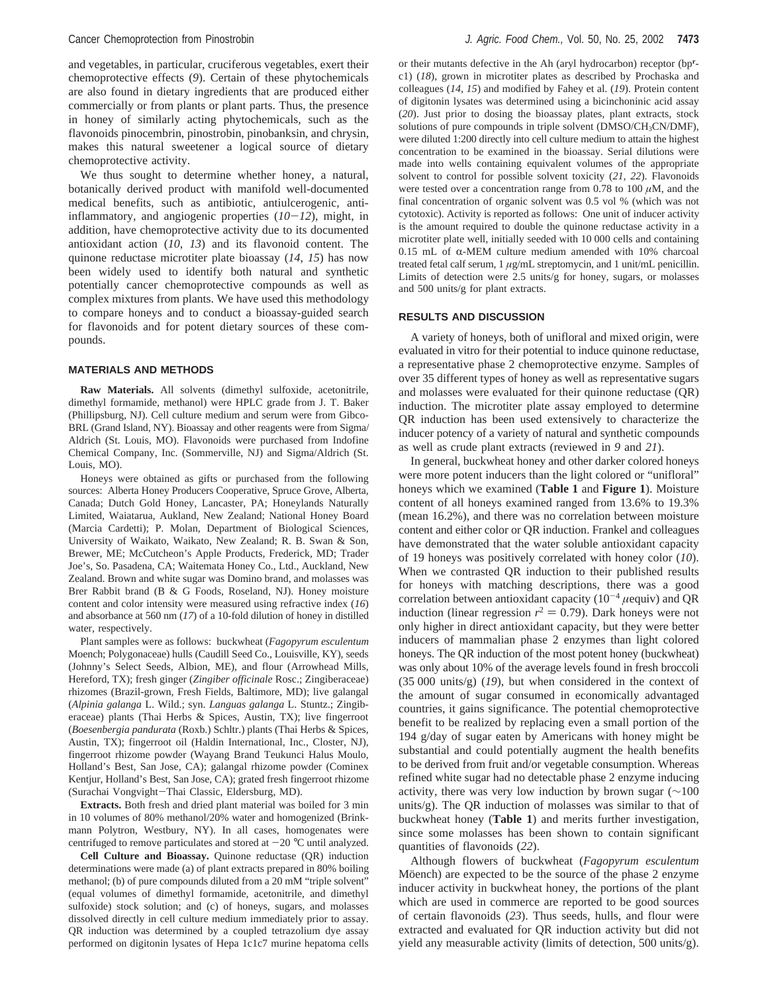and vegetables, in particular, cruciferous vegetables, exert their chemoprotective effects (*9*). Certain of these phytochemicals are also found in dietary ingredients that are produced either commercially or from plants or plant parts. Thus, the presence in honey of similarly acting phytochemicals, such as the flavonoids pinocembrin, pinostrobin, pinobanksin, and chrysin, makes this natural sweetener a logical source of dietary chemoprotective activity.

We thus sought to determine whether honey, a natural, botanically derived product with manifold well-documented medical benefits, such as antibiotic, antiulcerogenic, antiinflammatory, and angiogenic properties (*10*-*12*), might, in addition, have chemoprotective activity due to its documented antioxidant action (*10*, *13*) and its flavonoid content. The quinone reductase microtiter plate bioassay (*14*, *15*) has now been widely used to identify both natural and synthetic potentially cancer chemoprotective compounds as well as complex mixtures from plants. We have used this methodology to compare honeys and to conduct a bioassay-guided search for flavonoids and for potent dietary sources of these compounds.

#### **MATERIALS AND METHODS**

**Raw Materials.** All solvents (dimethyl sulfoxide, acetonitrile, dimethyl formamide, methanol) were HPLC grade from J. T. Baker (Phillipsburg, NJ). Cell culture medium and serum were from Gibco-BRL (Grand Island, NY). Bioassay and other reagents were from Sigma/ Aldrich (St. Louis, MO). Flavonoids were purchased from Indofine Chemical Company, Inc. (Sommerville, NJ) and Sigma/Aldrich (St. Louis, MO).

Honeys were obtained as gifts or purchased from the following sources: Alberta Honey Producers Cooperative, Spruce Grove, Alberta, Canada; Dutch Gold Honey, Lancaster, PA; Honeylands Naturally Limited, Waiatarua, Aukland, New Zealand; National Honey Board (Marcia Cardetti); P. Molan, Department of Biological Sciences, University of Waikato, Waikato, New Zealand; R. B. Swan & Son, Brewer, ME; McCutcheon's Apple Products, Frederick, MD; Trader Joe's, So. Pasadena, CA; Waitemata Honey Co., Ltd., Auckland, New Zealand. Brown and white sugar was Domino brand, and molasses was Brer Rabbit brand (B & G Foods, Roseland, NJ). Honey moisture content and color intensity were measured using refractive index (*16*) and absorbance at 560 nm (*17*) of a 10-fold dilution of honey in distilled water, respectively.

Plant samples were as follows: buckwheat (*Fagopyrum esculentum* Moench; Polygonaceae) hulls (Caudill Seed Co., Louisville, KY), seeds (Johnny's Select Seeds, Albion, ME), and flour (Arrowhead Mills, Hereford, TX); fresh ginger (*Zingiber officinale* Rosc.; Zingiberaceae) rhizomes (Brazil-grown, Fresh Fields, Baltimore, MD); live galangal (*Alpinia galanga* L. Wild.; syn. *Languas galanga* L. Stuntz.; Zingiberaceae) plants (Thai Herbs & Spices, Austin, TX); live fingerroot (*Boesenbergia pandurata* (Roxb.) Schltr.) plants (Thai Herbs & Spices, Austin, TX); fingerroot oil (Haldin International, Inc., Closter, NJ), fingerroot rhizome powder (Wayang Brand Teukunci Halus Moulo, Holland's Best, San Jose, CA); galangal rhizome powder (Cominex Kentjur, Holland's Best, San Jose, CA); grated fresh fingerroot rhizome (Surachai Vongvight-Thai Classic, Eldersburg, MD).

**Extracts.** Both fresh and dried plant material was boiled for 3 min in 10 volumes of 80% methanol/20% water and homogenized (Brinkmann Polytron, Westbury, NY). In all cases, homogenates were centrifuged to remove particulates and stored at  $-20$  °C until analyzed.

**Cell Culture and Bioassay.** Quinone reductase (QR) induction determinations were made (a) of plant extracts prepared in 80% boiling methanol; (b) of pure compounds diluted from a 20 mM "triple solvent" (equal volumes of dimethyl formamide, acetonitrile, and dimethyl sulfoxide) stock solution; and (c) of honeys, sugars, and molasses dissolved directly in cell culture medium immediately prior to assay. QR induction was determined by a coupled tetrazolium dye assay performed on digitonin lysates of Hepa 1c1c7 murine hepatoma cells

or their mutants defective in the Ah (aryl hydrocarbon) receptor (bp**<sup>r</sup>** c1) (*18*), grown in microtiter plates as described by Prochaska and colleagues (*14, 15*) and modified by Fahey et al. (*19*). Protein content of digitonin lysates was determined using a bicinchoninic acid assay (*20*). Just prior to dosing the bioassay plates, plant extracts, stock solutions of pure compounds in triple solvent (DMSO/CH<sub>3</sub>CN/DMF), were diluted 1:200 directly into cell culture medium to attain the highest concentration to be examined in the bioassay. Serial dilutions were made into wells containing equivalent volumes of the appropriate solvent to control for possible solvent toxicity (*21*, *22*). Flavonoids were tested over a concentration range from 0.78 to 100 *µ*M, and the final concentration of organic solvent was 0.5 vol % (which was not cytotoxic). Activity is reported as follows: One unit of inducer activity is the amount required to double the quinone reductase activity in a microtiter plate well, initially seeded with 10 000 cells and containing 0.15 mL of  $\alpha$ -MEM culture medium amended with 10% charcoal treated fetal calf serum, 1 *µ*g/mL streptomycin, and 1 unit/mL penicillin. Limits of detection were 2.5 units/g for honey, sugars, or molasses and 500 units/g for plant extracts.

### **RESULTS AND DISCUSSION**

A variety of honeys, both of unifloral and mixed origin, were evaluated in vitro for their potential to induce quinone reductase, a representative phase 2 chemoprotective enzyme. Samples of over 35 different types of honey as well as representative sugars and molasses were evaluated for their quinone reductase (QR) induction. The microtiter plate assay employed to determine QR induction has been used extensively to characterize the inducer potency of a variety of natural and synthetic compounds as well as crude plant extracts (reviewed in *9* and *21*).

In general, buckwheat honey and other darker colored honeys were more potent inducers than the light colored or "unifloral" honeys which we examined (**Table 1** and **Figure 1**). Moisture content of all honeys examined ranged from 13.6% to 19.3% (mean 16.2%), and there was no correlation between moisture content and either color or QR induction. Frankel and colleagues have demonstrated that the water soluble antioxidant capacity of 19 honeys was positively correlated with honey color (*10*). When we contrasted QR induction to their published results for honeys with matching descriptions, there was a good correlation between antioxidant capacity ( $10^{-4} \mu$ equiv) and QR induction (linear regression  $r^2 = 0.79$ ). Dark honeys were not only higher in direct antioxidant capacity, but they were better inducers of mammalian phase 2 enzymes than light colored honeys. The QR induction of the most potent honey (buckwheat) was only about 10% of the average levels found in fresh broccoli (35 000 units/g) (*19*), but when considered in the context of the amount of sugar consumed in economically advantaged countries, it gains significance. The potential chemoprotective benefit to be realized by replacing even a small portion of the 194 g/day of sugar eaten by Americans with honey might be substantial and could potentially augment the health benefits to be derived from fruit and/or vegetable consumption. Whereas refined white sugar had no detectable phase 2 enzyme inducing activity, there was very low induction by brown sugar (∼100 units/g). The QR induction of molasses was similar to that of buckwheat honey (**Table 1**) and merits further investigation, since some molasses has been shown to contain significant quantities of flavonoids (*22*).

Although flowers of buckwheat (*Fagopyrum esculentum* Möench) are expected to be the source of the phase 2 enzyme inducer activity in buckwheat honey, the portions of the plant which are used in commerce are reported to be good sources of certain flavonoids (*23*). Thus seeds, hulls, and flour were extracted and evaluated for QR induction activity but did not yield any measurable activity (limits of detection, 500 units/g).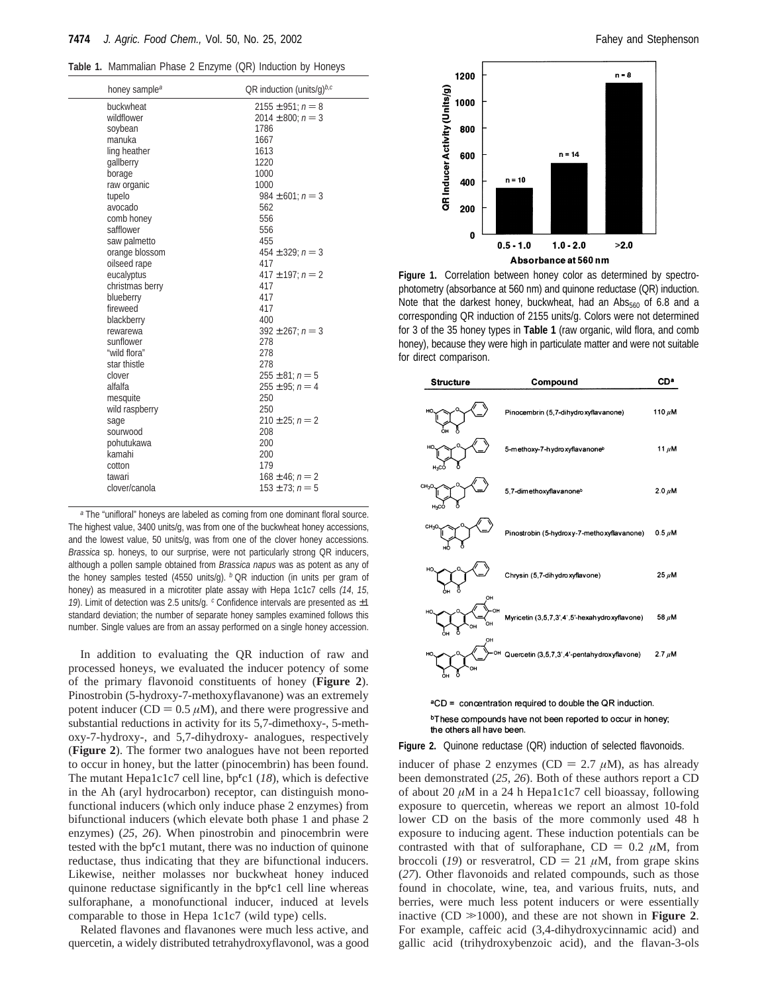| Table 1. Mammalian Phase 2 Enzyme (QR) Induction by Honeys |  |
|------------------------------------------------------------|--|
|------------------------------------------------------------|--|

| honey sample <sup>a</sup> | QR induction (units/q) $^{b,c}$ |
|---------------------------|---------------------------------|
| buckwheat                 | $2155 \pm 951$ ; $n = 8$        |
| wildflower                | $2014 \pm 800$ ; $n = 3$        |
| soybean                   | 1786                            |
| manuka                    | 1667                            |
| ling heather              | 1613                            |
| gallberry                 | 1220                            |
| borage                    | 1000                            |
| raw organic               | 1000                            |
| tupelo                    | $984 \pm 601$ ; $n = 3$         |
| avocado                   | 562                             |
| comb honey                | 556                             |
| safflower                 | 556                             |
| saw palmetto              | 455                             |
| orange blossom            | $454 \pm 329$ ; $n = 3$         |
| oilseed rape              | 417                             |
| eucalyptus                | $417 \pm 197$ ; $n = 2$         |
| christmas berry           | 417                             |
| blueberry                 | 417                             |
| fireweed                  | 417                             |
| blackberry                | 400                             |
| rewarewa                  | $392 \pm 267$ : $n = 3$         |
| sunflower                 | 278                             |
| "wild flora"              | 278                             |
| star thistle              | 278                             |
| clover                    | $255 \pm 81$ ; $n = 5$          |
| alfalfa                   | $255 \pm 95$ ; $n = 4$          |
| mesquite                  | 250                             |
| wild raspberry            | 250                             |
| sage                      | $210 \pm 25$ ; $n = 2$          |
| sourwood                  | 208                             |
| pohutukawa                | 200                             |
| kamahi                    | 200                             |
| cotton                    | 179                             |
| tawari                    | $168 \pm 46$ ; $n = 2$          |
| clover/canola             | $153 \pm 73$ ; $n = 5$          |
|                           |                                 |

*<sup>a</sup>* The "unifloral" honeys are labeled as coming from one dominant floral source. The highest value, 3400 units/g, was from one of the buckwheat honey accessions, and the lowest value, 50 units/g, was from one of the clover honey accessions. *Brassica* sp. honeys, to our surprise, were not particularly strong QR inducers, although a pollen sample obtained from *Brassica napus* was as potent as any of the honey samples tested (4550 units/g). *<sup>b</sup>* QR induction (in units per gram of honey) as measured in a microtiter plate assay with Hepa 1c1c7 cells *(14*, *15*, *19*). Limit of detection was 2.5 units/g. *<sup>c</sup>* Confidence intervals are presented as ±1 standard deviation; the number of separate honey samples examined follows this number. Single values are from an assay performed on a single honey accession.

In addition to evaluating the QR induction of raw and processed honeys, we evaluated the inducer potency of some of the primary flavonoid constituents of honey (**Figure 2**). Pinostrobin (5-hydroxy-7-methoxyflavanone) was an extremely potent inducer ( $CD = 0.5 \mu M$ ), and there were progressive and substantial reductions in activity for its 5,7-dimethoxy-, 5-methoxy-7-hydroxy-, and 5,7-dihydroxy- analogues, respectively (**Figure 2**). The former two analogues have not been reported to occur in honey, but the latter (pinocembrin) has been found. The mutant Hepa1c1c7 cell line, bp**<sup>r</sup>** c1 (*18*), which is defective in the Ah (aryl hydrocarbon) receptor, can distinguish monofunctional inducers (which only induce phase 2 enzymes) from bifunctional inducers (which elevate both phase 1 and phase 2 enzymes) (*25*, *26*). When pinostrobin and pinocembrin were tested with the bp**<sup>r</sup>** c1 mutant, there was no induction of quinone reductase, thus indicating that they are bifunctional inducers. Likewise, neither molasses nor buckwheat honey induced quinone reductase significantly in the bp**<sup>r</sup>** c1 cell line whereas sulforaphane, a monofunctional inducer, induced at levels comparable to those in Hepa 1c1c7 (wild type) cells.

Related flavones and flavanones were much less active, and quercetin, a widely distributed tetrahydroxyflavonol, was a good



**Figure 1.** Correlation between honey color as determined by spectrophotometry (absorbance at 560 nm) and quinone reductase (QR) induction. Note that the darkest honey, buckwheat, had an Abs<sub>560</sub> of 6.8 and a corresponding QR induction of 2155 units/g. Colors were not determined for 3 of the 35 honey types in **Table 1** (raw organic, wild flora, and comb honey), because they were high in particulate matter and were not suitable for direct comparison.

| <b>Structure</b>             | Compound                                       | <b>CD<sup>a</sup></b> |
|------------------------------|------------------------------------------------|-----------------------|
| нс                           | Pinocembrin (5,7-dihydro xyflavanone)          | 110 $\mu$ M           |
| HC<br>H <sub>2</sub> C       | 5-methoxy-7-hydroxyflavanoneb                  | 11 $\mu$ M            |
| CH <sub>3</sub> O<br>$H_3CO$ | 5,7-dimethoxyflavanoneb                        | $2.0 \mu M$           |
| CH <sub>3</sub> O            | Pinostrobin (5-hydroxy-7-methoxyflavanone)     | $0.5 \mu M$           |
| нс<br>OН                     | Chrysin (5,7-dih ydroxyflavone)                | $25 \mu M$            |
| OH<br>он<br>OH               | Myricetin (3,5,7,3',4',5'-hexah ydroxyflavone) | 58 µM                 |
| он<br>ő<br>ÒН                | Quercetin (3,5,7,3',4'-pentahydroxyflavone)    | $2.7 \mu M$           |

<sup>a</sup>CD = concentration required to double the QR induction. <sup>b</sup>These compounds have not been reported to occur in honey; the others all have been.

**Figure 2.** Quinone reductase (QR) induction of selected flavonoids.

inducer of phase 2 enzymes (CD =  $2.7 \mu M$ ), as has already been demonstrated (*25*, *26*). Both of these authors report a CD of about 20 *µ*M in a 24 h Hepa1c1c7 cell bioassay, following exposure to quercetin, whereas we report an almost 10-fold lower CD on the basis of the more commonly used 48 h exposure to inducing agent. These induction potentials can be contrasted with that of sulforaphane,  $CD = 0.2 \mu M$ , from broccoli (19) or resveratrol,  $CD = 21 \mu M$ , from grape skins (*27*). Other flavonoids and related compounds, such as those found in chocolate, wine, tea, and various fruits, nuts, and berries, were much less potent inducers or were essentially inactive  $(CD \gg 1000)$ , and these are not shown in **Figure 2**. For example, caffeic acid (3,4-dihydroxycinnamic acid) and gallic acid (trihydroxybenzoic acid), and the flavan-3-ols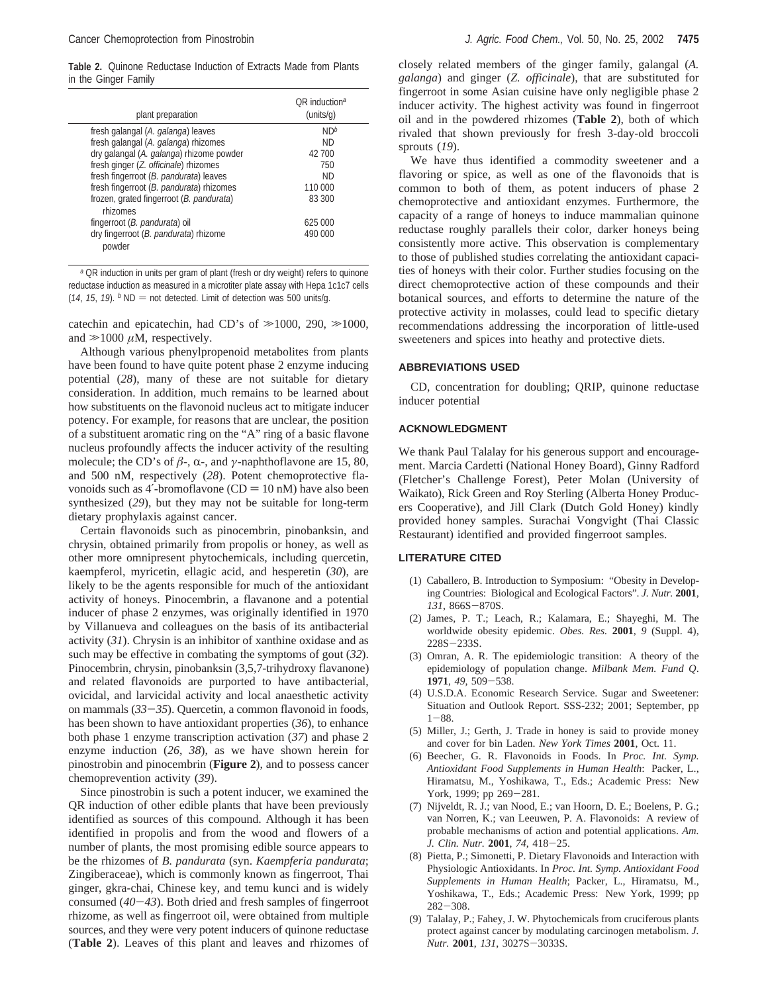**Table 2.** Quinone Reductase Induction of Extracts Made from Plants in the Ginger Family

| plant preparation                                    | OR induction <sup>a</sup><br>(units/g) |
|------------------------------------------------------|----------------------------------------|
| fresh galangal (A. galanga) leaves                   | ND <sup>b</sup>                        |
| fresh galangal (A. galanga) rhizomes                 | ND.                                    |
| dry galangal (A. galanga) rhizome powder             | 42 700                                 |
| fresh ginger (Z. officinale) rhizomes                | 750                                    |
| fresh fingerroot (B. pandurata) leaves               | ND.                                    |
| fresh fingerroot (B. pandurata) rhizomes             | 110 000                                |
| frozen, grated fingerroot (B. pandurata)<br>rhizomes | 83 300                                 |
| fingerroot (B. pandurata) oil                        | 625 000                                |
| dry fingerroot (B. pandurata) rhizome<br>powder      | 490 000                                |

*<sup>a</sup>* QR induction in units per gram of plant (fresh or dry weight) refers to quinone reductase induction as measured in a microtiter plate assay with Hepa 1c1c7 cells  $(14, 15, 19)$ .  $b$  ND = not detected. Limit of detection was 500 units/g.

catechin and epicatechin, had CD's of  $\gg$ 1000, 290,  $\gg$ 1000, and  $\gg$ 1000  $\mu$ M, respectively.

Although various phenylpropenoid metabolites from plants have been found to have quite potent phase 2 enzyme inducing potential (*28*), many of these are not suitable for dietary consideration. In addition, much remains to be learned about how substituents on the flavonoid nucleus act to mitigate inducer potency. For example, for reasons that are unclear, the position of a substituent aromatic ring on the "A" ring of a basic flavone nucleus profoundly affects the inducer activity of the resulting molecule; the CD's of  $β$ -, α-, and *γ*-naphthoflavone are 15, 80, and 500 nM, respectively (*28*). Potent chemoprotective flavonoids such as 4'-bromoflavone ( $CD = 10$  nM) have also been synthesized (*29*), but they may not be suitable for long-term dietary prophylaxis against cancer.

Certain flavonoids such as pinocembrin, pinobanksin, and chrysin, obtained primarily from propolis or honey, as well as other more omnipresent phytochemicals, including quercetin, kaempferol, myricetin, ellagic acid, and hesperetin (*30*), are likely to be the agents responsible for much of the antioxidant activity of honeys. Pinocembrin, a flavanone and a potential inducer of phase 2 enzymes, was originally identified in 1970 by Villanueva and colleagues on the basis of its antibacterial activity (*31*). Chrysin is an inhibitor of xanthine oxidase and as such may be effective in combating the symptoms of gout (*32*). Pinocembrin, chrysin, pinobanksin (3,5,7-trihydroxy flavanone) and related flavonoids are purported to have antibacterial, ovicidal, and larvicidal activity and local anaesthetic activity on mammals (*33*-*35*). Quercetin, a common flavonoid in foods, has been shown to have antioxidant properties (*36*), to enhance both phase 1 enzyme transcription activation (*37*) and phase 2 enzyme induction (*26*, *38*), as we have shown herein for pinostrobin and pinocembrin (**Figure 2**), and to possess cancer chemoprevention activity (*39*).

Since pinostrobin is such a potent inducer, we examined the QR induction of other edible plants that have been previously identified as sources of this compound. Although it has been identified in propolis and from the wood and flowers of a number of plants, the most promising edible source appears to be the rhizomes of *B. pandurata* (syn. *Kaempferia pandurata*; Zingiberaceae), which is commonly known as fingerroot, Thai ginger, gkra-chai, Chinese key, and temu kunci and is widely consumed (*40*-*43*). Both dried and fresh samples of fingerroot rhizome, as well as fingerroot oil, were obtained from multiple sources, and they were very potent inducers of quinone reductase (**Table 2**). Leaves of this plant and leaves and rhizomes of

closely related members of the ginger family, galangal (*A. galanga*) and ginger (*Z. officinale*), that are substituted for fingerroot in some Asian cuisine have only negligible phase 2 inducer activity. The highest activity was found in fingerroot oil and in the powdered rhizomes (**Table 2**), both of which rivaled that shown previously for fresh 3-day-old broccoli sprouts (*19*).

We have thus identified a commodity sweetener and a flavoring or spice, as well as one of the flavonoids that is common to both of them, as potent inducers of phase 2 chemoprotective and antioxidant enzymes. Furthermore, the capacity of a range of honeys to induce mammalian quinone reductase roughly parallels their color, darker honeys being consistently more active. This observation is complementary to those of published studies correlating the antioxidant capacities of honeys with their color. Further studies focusing on the direct chemoprotective action of these compounds and their botanical sources, and efforts to determine the nature of the protective activity in molasses, could lead to specific dietary recommendations addressing the incorporation of little-used sweeteners and spices into heathy and protective diets.

#### **ABBREVIATIONS USED**

CD, concentration for doubling; QRIP, quinone reductase inducer potential

## **ACKNOWLEDGMENT**

We thank Paul Talalay for his generous support and encouragement. Marcia Cardetti (National Honey Board), Ginny Radford (Fletcher's Challenge Forest), Peter Molan (University of Waikato), Rick Green and Roy Sterling (Alberta Honey Producers Cooperative), and Jill Clark (Dutch Gold Honey) kindly provided honey samples. Surachai Vongvight (Thai Classic Restaurant) identified and provided fingerroot samples.

#### **LITERATURE CITED**

- (1) Caballero, B. Introduction to Symposium: "Obesity in Developing Countries: Biological and Ecological Factors". *J. Nutr.* **2001**, *<sup>131</sup>*, 866S-870S.
- (2) James, P. T.; Leach, R.; Kalamara, E.; Shayeghi, M. The worldwide obesity epidemic. *Obes. Res.* **2001**, *9* (Suppl. 4), 228S-233S.
- (3) Omran, A. R. The epidemiologic transition: A theory of the epidemiology of population change. *Milbank Mem. Fund Q*. **<sup>1971</sup>**, *<sup>49</sup>*, 509-538.
- (4) U.S.D.A. Economic Research Service. Sugar and Sweetener: Situation and Outlook Report. SSS-232; 2001; September, pp
- <sup>1</sup>-88. (5) Miller, J.; Gerth, J. Trade in honey is said to provide money and cover for bin Laden. *New York Times* **2001**, Oct. 11.
- (6) Beecher, G. R. Flavonoids in Foods. In *Proc. Int. Symp. Antioxidant Food Supplements in Human Health*: Packer, L., Hiramatsu, M., Yoshikawa, T., Eds.; Academic Press: New York, 1999; pp 269-281.
- (7) Nijveldt, R. J.; van Nood, E.; van Hoorn, D. E.; Boelens, P. G.; van Norren, K.; van Leeuwen, P. A. Flavonoids: A review of probable mechanisms of action and potential applications. *Am. J. Clin. Nutr.* **<sup>2001</sup>**, *<sup>74</sup>*, 418-25.
- (8) Pietta, P.; Simonetti, P. Dietary Flavonoids and Interaction with Physiologic Antioxidants. In *Proc. Int. Symp. Antioxidant Food Supplements in Human Health*; Packer, L., Hiramatsu, M., Yoshikawa, T., Eds.; Academic Press: New York, 1999; pp  $282 - 308$ .
- (9) Talalay, P.; Fahey, J. W. Phytochemicals from cruciferous plants protect against cancer by modulating carcinogen metabolism. *J. Nutr.* **<sup>2001</sup>**, *<sup>131</sup>*, 3027S-3033S.